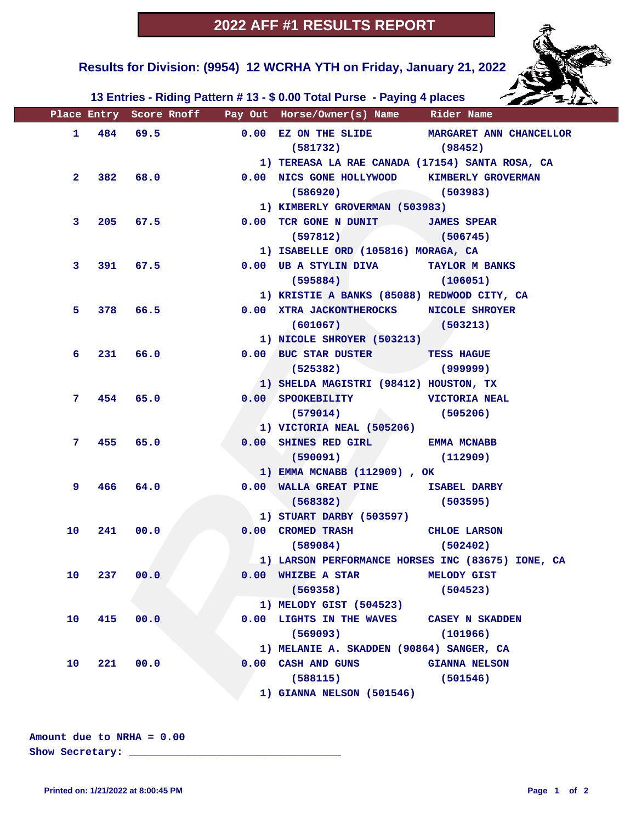**Results for Division: (9954) 12 WCRHA YTH on Friday, January 21, 2022** 

 **13 Entries - Riding Pattern # 13 - \$ 0.00 Total Purse - Paying 4 places**

|              |                  |          |          | Place Entry Score Rnoff Pay Out Horse/Owner(s) Name Rider Name |                                                   |
|--------------|------------------|----------|----------|----------------------------------------------------------------|---------------------------------------------------|
|              | $1 \t484 \t69.5$ |          |          |                                                                | 0.00 EZ ON THE SLIDE MARGARET ANN CHANCELLOR      |
|              |                  |          |          | $(581732)$ (98452)                                             |                                                   |
|              |                  |          |          | 1) TEREASA LA RAE CANADA (17154) SANTA ROSA, CA                |                                                   |
| $\mathbf{2}$ |                  |          | 382 68.0 | 0.00 NICS GONE HOLLYWOOD KIMBERLY GROVERMAN                    |                                                   |
|              |                  |          |          | $(586920)$ (503983)                                            |                                                   |
|              |                  |          |          | 1) KIMBERLY GROVERMAN (503983)                                 |                                                   |
| 3            |                  | 205 67.5 |          | 0.00 TCR GONE N DUNIT JAMES SPEAR                              |                                                   |
|              |                  |          |          | $(597812)$ (506745)                                            |                                                   |
|              |                  |          |          | 1) ISABELLE ORD (105816) MORAGA, CA                            |                                                   |
| 3            |                  |          | 391 67.5 | 0.00 UB A STYLIN DIVA TAYLOR M BANKS                           |                                                   |
|              |                  |          |          | $(595884)$ $(106051)$                                          |                                                   |
|              |                  |          |          | 1) KRISTIE A BANKS (85088) REDWOOD CITY, CA                    |                                                   |
| 5.           |                  | 378 66.5 |          | 0.00 XTRA JACKONTHEROCKS NICOLE SHROYER                        |                                                   |
|              |                  |          |          | $(601067)$ (503213)                                            |                                                   |
|              |                  |          |          | 1) NICOLE SHROYER (503213)                                     |                                                   |
| 6            |                  |          | 231 66.0 | 0.00 BUC STAR DUSTER TESS HAGUE                                |                                                   |
|              |                  |          |          | $(525382)$ (999999)                                            |                                                   |
|              |                  |          |          | 1) SHELDA MAGISTRI (98412) HOUSTON, TX                         |                                                   |
| 7.           |                  | 454 65.0 |          | 0.00 SPOOKEBILITY VICTORIA NEAL                                |                                                   |
|              |                  |          |          | $(579014)$ (505206)                                            |                                                   |
|              |                  |          |          | 1) VICTORIA NEAL (505206)                                      |                                                   |
| 7.           |                  | 455 65.0 |          | 0.00 SHINES RED GIRL EMMA MCNABB                               |                                                   |
|              |                  |          |          | (590091)                                                       | (112909)                                          |
|              |                  |          |          | 1) EMMA MCNABB (112909), OK                                    |                                                   |
| 9.           | 466 —            | 64.0     |          | 0.00 WALLA GREAT PINE ISABEL DARBY                             |                                                   |
|              |                  |          |          | (568382)                                                       | (503595)                                          |
|              |                  |          |          | 1) STUART DARBY (503597)                                       |                                                   |
| 10           | 241              | 00.0     |          | 0.00 CROMED TRASH CHLOE LARSON                                 |                                                   |
|              |                  |          |          | $(589084)$ $(502402)$                                          |                                                   |
|              |                  |          |          |                                                                | 1) LARSON PERFORMANCE HORSES INC (83675) IONE, CA |
| 10           |                  | 237 00.0 |          | 0.00 WHIZBE A STAR MELODY GIST                                 |                                                   |
|              |                  |          |          | (569358)                                                       | (504523)                                          |
|              |                  |          |          | 1) MELODY GIST (504523)                                        |                                                   |
| 10           | 415              | 00.0     |          | 0.00 LIGHTS IN THE WAVES CASEY N SKADDEN                       |                                                   |
|              |                  |          |          | (569093)                                                       | (101966)                                          |
|              |                  |          |          | 1) MELANIE A. SKADDEN (90864) SANGER, CA                       |                                                   |
| 10           | 221              | 00.0     |          | 0.00 CASH AND GUNS                                             | <b>GIANNA NELSON</b>                              |
|              |                  |          |          | (588115)                                                       | (501546)                                          |
|              |                  |          |          | 1) GIANNA NELSON (501546)                                      |                                                   |

**Amount due to NRHA = 0.00**

**Show Secretary: \_\_\_\_\_\_\_\_\_\_\_\_\_\_\_\_\_\_\_\_\_\_\_\_\_\_\_\_\_\_\_\_\_\_**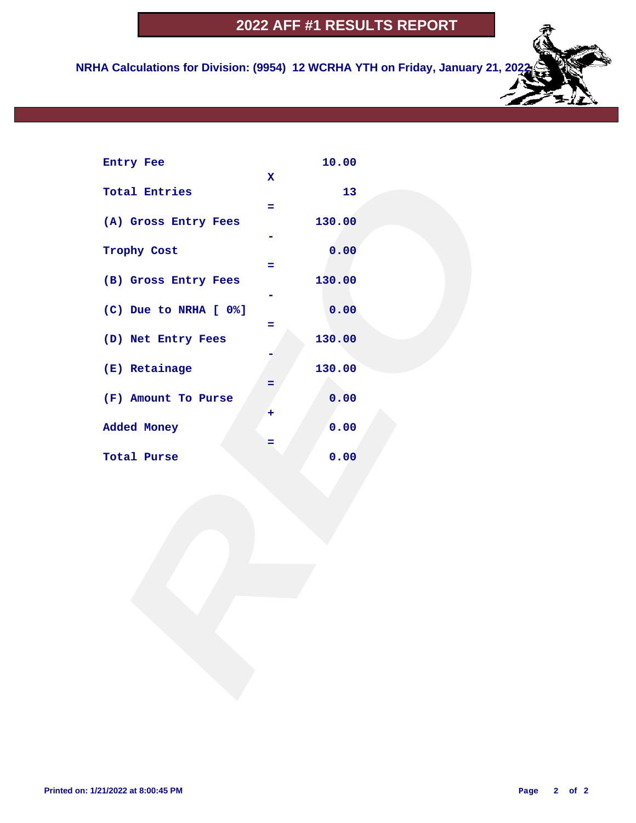## **2022 AFF #1 RESULTS REPORT**

 **NRHA Calculations for Division: (9954) 12 WCRHA YTH on Friday, January 21, 2022**

| Entry Fee             |              | 10.00  |  |
|-----------------------|--------------|--------|--|
|                       | $\mathbf{x}$ |        |  |
| <b>Total Entries</b>  | Ξ.           | 13     |  |
| (A) Gross Entry Fees  |              | 130.00 |  |
|                       |              |        |  |
| Trophy Cost           |              | 0.00   |  |
|                       | ÷            |        |  |
| (B) Gross Entry Fees  |              | 130.00 |  |
| (C) Due to NRHA [ 0%] |              | 0.00   |  |
|                       | Ξ            |        |  |
| (D) Net Entry Fees    |              | 130.00 |  |
| (E) Retainage         |              | 130.00 |  |
|                       |              |        |  |
| (F) Amount To Purse   |              | 0.00   |  |
|                       | ٠            |        |  |
| Added Money           |              | 0.00   |  |
|                       | =            | 0.00   |  |
| Total Purse           |              |        |  |
|                       |              |        |  |
|                       |              |        |  |
|                       |              |        |  |
|                       |              |        |  |
|                       |              |        |  |
|                       |              |        |  |
|                       |              |        |  |
|                       |              |        |  |
|                       |              |        |  |
|                       |              |        |  |
|                       |              |        |  |
|                       |              |        |  |
|                       |              |        |  |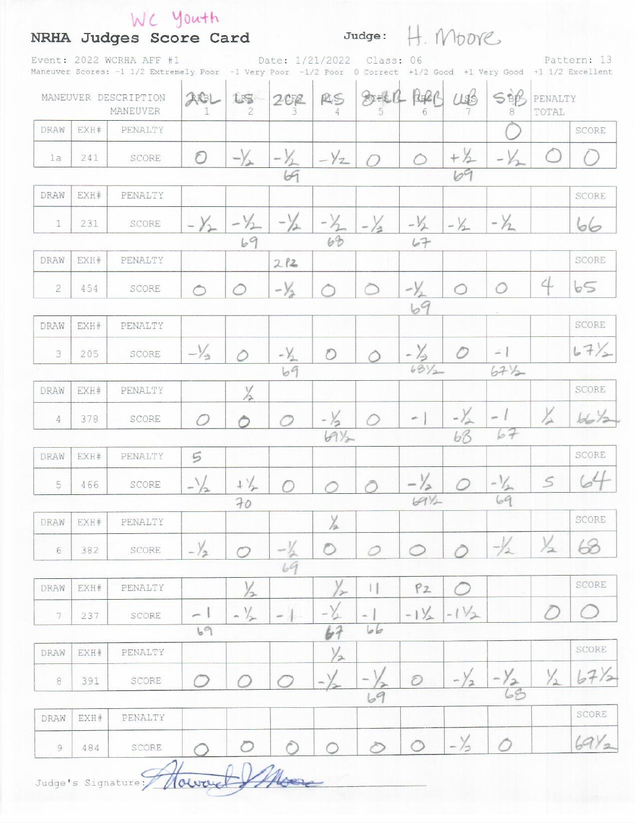|                                  |      | Event: 2022 WCRHA AFF #1<br>Maneuver Scores: -1 1/2 Extremely Poor -1 Very Poor -1/2 Poor 0 Correct +1/2 Good +1 Very Good +1 1/2 Excellent |                     |                |                |                        | Date: 1/21/2022 Class: 06      |                 |                 |                                        |                  | Pattern: 13 |
|----------------------------------|------|---------------------------------------------------------------------------------------------------------------------------------------------|---------------------|----------------|----------------|------------------------|--------------------------------|-----------------|-----------------|----------------------------------------|------------------|-------------|
| MANEUVER DESCRIPTION<br>MANEUVER |      |                                                                                                                                             | AREL                | Lis            | 202            | RS                     | $80 - 61$                      |                 | 195             | SBB                                    | PENALTY<br>TOTAL |             |
| DRAW                             | EXH# | PENALTY                                                                                                                                     |                     |                |                |                        |                                |                 |                 |                                        |                  | SCORE       |
| 1a                               | 241  | SCORE                                                                                                                                       | $\circ$             | $-\sqrt{2}$    | $-\gamma$      | $-\frac{1}{2}$         |                                |                 | $+2$            | $-\gamma$                              |                  |             |
|                                  |      |                                                                                                                                             |                     |                |                |                        |                                |                 |                 |                                        |                  |             |
| DRAW                             | EXH# | PENALTY                                                                                                                                     |                     |                |                |                        |                                |                 |                 |                                        |                  | SCORE       |
| $\mathbb{1}$                     | 231  | SCORE                                                                                                                                       | $-\gamma$           | $-\gamma$      | $-\frac{1}{2}$ | 68                     | $-\frac{1}{2}$                 | $-1/2$          | $-1/2$          | $-\gamma$                              |                  | 66          |
| DRAW                             | EXH# | PENALTY                                                                                                                                     |                     | 69             | 212            |                        |                                |                 |                 |                                        |                  | SCORE       |
| 2                                | 454  | SCORE                                                                                                                                       | $\hat{C}$           | ∩              | $-\frac{1}{2}$ |                        |                                | $-\frac{1}{2}$  | ◯               | Ω                                      | 4                | b5          |
|                                  |      |                                                                                                                                             |                     |                |                |                        |                                | 69              |                 |                                        |                  |             |
| DRAW                             | EXH# | PENALTY                                                                                                                                     |                     |                |                |                        |                                |                 |                 |                                        |                  | SCORE       |
| 3                                | 205  | SCORE                                                                                                                                       | $-\frac{1}{2}$      |                | $-\frac{1}{2}$ | O                      |                                | $-\frac{7}{68}$ | O               | $\sim$ 1                               |                  | 67/2        |
|                                  |      |                                                                                                                                             |                     |                | 69             |                        |                                |                 |                 | $67\frac{1}{2}$                        |                  |             |
| DRAW                             | EXH# | PENALTY                                                                                                                                     |                     |                |                |                        |                                |                 |                 |                                        |                  | SCORE       |
| 4                                | 378  | SCORE                                                                                                                                       | $\sqrt{ }$          |                |                | $\frac{1}{2}$<br>$4\%$ |                                |                 | $-\frac{1}{68}$ | 67                                     | $\frac{1}{2}$    | 6672        |
| DRAW                             | EXH# | PENALTY                                                                                                                                     | 5                   |                |                |                        |                                |                 |                 |                                        |                  | SCORE       |
| 5                                | 466  | SCORE                                                                                                                                       | $\sim$ $\sim$<br>÷, | $+\frac{1}{2}$ |                |                        |                                | $-\frac{1}{2}$  |                 | $\sqrt{2}$<br>$\mathcal{L}_{2n}$<br>69 | 5                | 64          |
|                                  |      |                                                                                                                                             |                     | 70             |                |                        |                                | $69\%$          |                 |                                        |                  |             |
| DRAW                             | EXH# | PENALTY                                                                                                                                     |                     |                |                | $\frac{1}{2}$          |                                |                 |                 |                                        |                  | SCORE       |
| $\epsilon$                       | 382  | SCORE                                                                                                                                       | $-\frac{1}{2}$      | $\sigma$       | 69             | $\circ$                | 0                              | ◯               |                 | $-\frac{1}{2}$                         | $\frac{1}{2}$    | 63          |
|                                  |      |                                                                                                                                             |                     |                |                |                        |                                |                 |                 |                                        |                  | SCORE       |
| DRAW                             | EXH# | PENALTY                                                                                                                                     |                     | $\frac{1}{2}$  |                | $\rightarrow$          | $  \  $                        | P2              |                 |                                        |                  |             |
| 7                                | 237  | SCORE                                                                                                                                       | ∽<br>69             | $-1/2$         |                | 67                     | $\overline{\phantom{a}}$<br>66 | $-1\frac{1}{2}$ | $-1\frac{1}{2}$ |                                        |                  |             |
| DRAW                             | EXH# | PENALTY                                                                                                                                     |                     |                |                | $\frac{1}{2}$          |                                |                 |                 |                                        |                  | SCORE       |
| $\, 8$                           | 391  | SCORE                                                                                                                                       |                     |                |                |                        |                                | $\mathcal{O}$   |                 | $-\frac{y}{68}$                        | $\frac{1}{2}$    | 67/2        |
|                                  |      |                                                                                                                                             |                     |                |                |                        | 69                             |                 |                 |                                        |                  |             |
| DRAW                             | EXH# | PENALTY                                                                                                                                     |                     |                |                |                        |                                |                 |                 |                                        |                  | SCORE       |
| 9                                | 484  | SCORE                                                                                                                                       |                     |                |                |                        | ∕                              | $\circ$         | $-\frac{1}{2}$  | 0                                      |                  | 6912        |

Judge's Signature: 10 World 1740